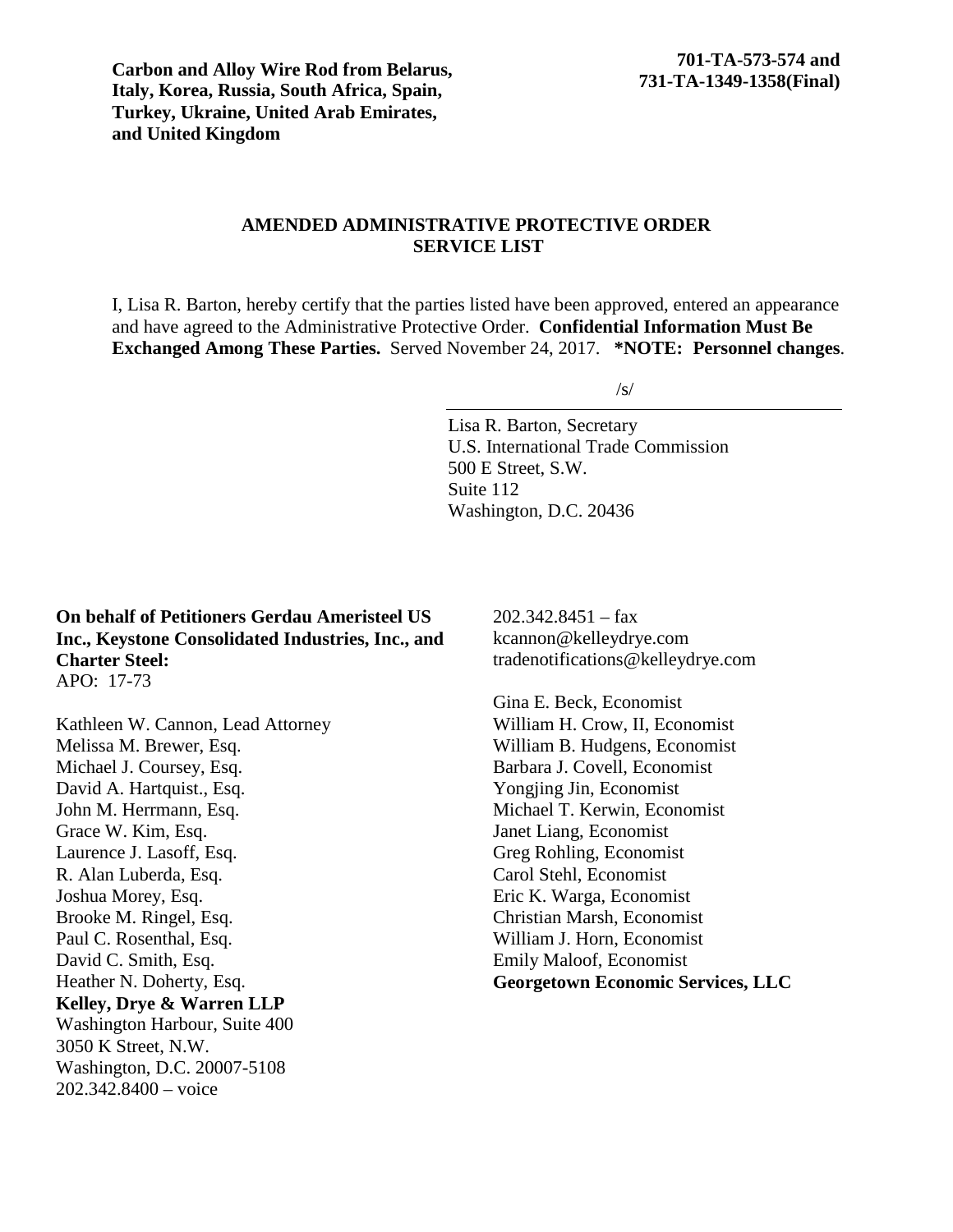**Carbon and Alloy Wire Rod from Belarus, Italy, Korea, Russia, South Africa, Spain, Turkey, Ukraine, United Arab Emirates, and United Kingdom**

# **AMENDED ADMINISTRATIVE PROTECTIVE ORDER SERVICE LIST**

I, Lisa R. Barton, hereby certify that the parties listed have been approved, entered an appearance and have agreed to the Administrative Protective Order. **Confidential Information Must Be Exchanged Among These Parties.** Served November 24, 2017. **\*NOTE: Personnel changes**.

 $\sqrt{s}$ 

Lisa R. Barton, Secretary U.S. International Trade Commission 500 E Street, S.W. Suite 112 Washington, D.C. 20436

### **On behalf of Petitioners Gerdau Ameristeel US Inc., Keystone Consolidated Industries, Inc., and Charter Steel:** APO: 17-73

Kathleen W. Cannon, Lead Attorney Melissa M. Brewer, Esq. Michael J. Coursey, Esq. David A. Hartquist., Esq. John M. Herrmann, Esq. Grace W. Kim, Esq. Laurence J. Lasoff, Esq. R. Alan Luberda, Esq. Joshua Morey, Esq. Brooke M. Ringel, Esq. Paul C. Rosenthal, Esq. David C. Smith, Esq. Heather N. Doherty, Esq. **Kelley, Drye & Warren LLP** Washington Harbour, Suite 400 3050 K Street, N.W. Washington, D.C. 20007-5108 202.342.8400 – voice

 $202.342.8451 - fax$ kcannon@kelleydrye.com tradenotifications@kelleydrye.com

Gina E. Beck, Economist William H. Crow, II, Economist William B. Hudgens, Economist Barbara J. Covell, Economist Yongjing Jin, Economist Michael T. Kerwin, Economist Janet Liang, Economist Greg Rohling, Economist Carol Stehl, Economist Eric K. Warga, Economist Christian Marsh, Economist William J. Horn, Economist Emily Maloof, Economist **Georgetown Economic Services, LLC**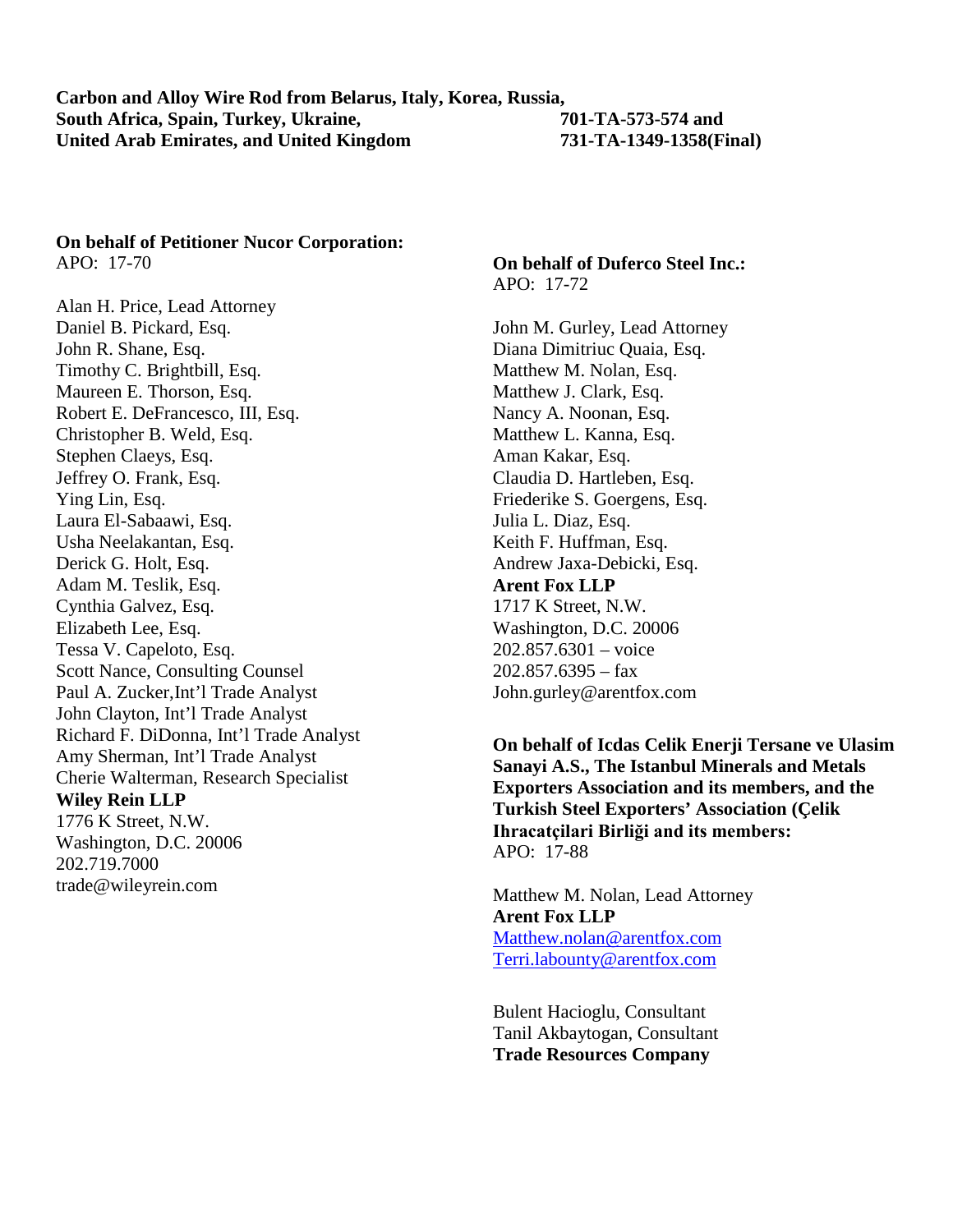# **On behalf of Petitioner Nucor Corporation:**

APO: 17-70

Alan H. Price, Lead Attorney Daniel B. Pickard, Esq. John R. Shane, Esq. Timothy C. Brightbill, Esq. Maureen E. Thorson, Esq. Robert E. DeFrancesco, III, Esq. Christopher B. Weld, Esq. Stephen Claeys, Esq. Jeffrey O. Frank, Esq. Ying Lin, Esq. Laura El-Sabaawi, Esq. Usha Neelakantan, Esq. Derick G. Holt, Esq. Adam M. Teslik, Esq. Cynthia Galvez, Esq. Elizabeth Lee, Esq. Tessa V. Capeloto, Esq. Scott Nance, Consulting Counsel Paul A. Zucker,Int'l Trade Analyst John Clayton, Int'l Trade Analyst Richard F. DiDonna, Int'l Trade Analyst Amy Sherman, Int'l Trade Analyst Cherie Walterman, Research Specialist **Wiley Rein LLP** 1776 K Street, N.W. Washington, D.C. 20006 202.719.7000 trade@wileyrein.com

### **On behalf of Duferco Steel Inc.:** APO: 17-72

John M. Gurley, Lead Attorney Diana Dimitriuc Quaia, Esq. Matthew M. Nolan, Esq. Matthew J. Clark, Esq. Nancy A. Noonan, Esq. Matthew L. Kanna, Esq. Aman Kakar, Esq. Claudia D. Hartleben, Esq. Friederike S. Goergens, Esq. Julia L. Diaz, Esq. Keith F. Huffman, Esq. Andrew Jaxa-Debicki, Esq. **Arent Fox LLP** 1717 K Street, N.W. Washington, D.C. 20006 202.857.6301 – voice  $202.857.6395 - fax$ John.gurley@arentfox.com

**On behalf of Icdas Celik Enerji Tersane ve Ulasim Sanayi A.S., The Istanbul Minerals and Metals Exporters Association and its members, and the Turkish Steel Exporters' Association (Çelik Ihracatçilari Birliği and its members:** APO: 17-88

Matthew M. Nolan, Lead Attorney **Arent Fox LLP** Matthew.nolan@arentfox.com Terri.labounty@arentfox.com

Bulent Hacioglu, Consultant Tanil Akbaytogan, Consultant **Trade Resources Company**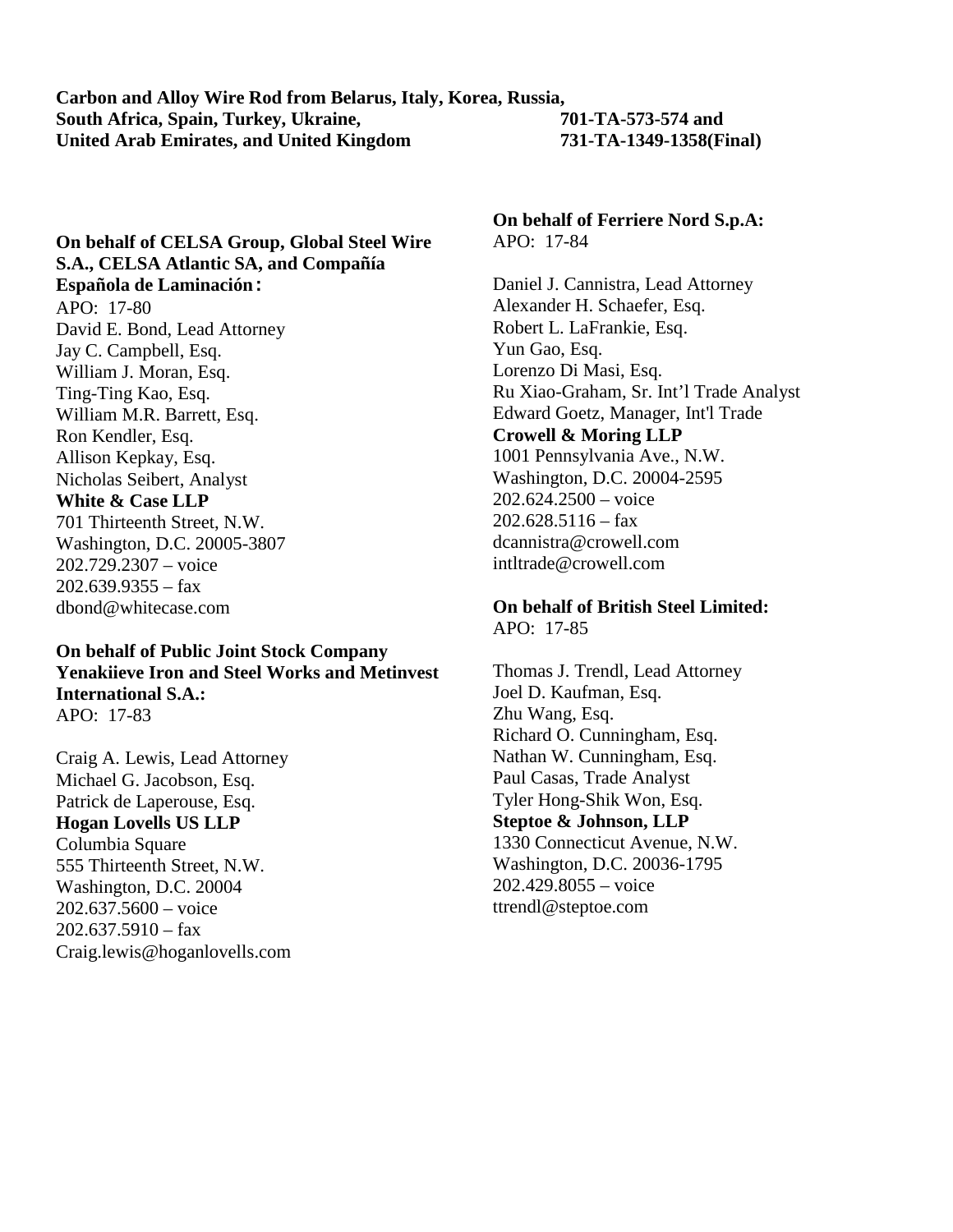## **On behalf of CELSA Group, Global Steel Wire S.A., CELSA Atlantic SA, and Compañía Española de Laminación:**

APO: 17-80 David E. Bond, Lead Attorney Jay C. Campbell, Esq. William J. Moran, Esq. Ting-Ting Kao, Esq. William M.R. Barrett, Esq. Ron Kendler, Esq. Allison Kepkay, Esq. Nicholas Seibert, Analyst **White & Case LLP** 701 Thirteenth Street, N.W. Washington, D.C. 20005-3807 202.729.2307 – voice  $202.639.9355 - fax$ dbond@whitecase.com

### **On behalf of Public Joint Stock Company Yenakiieve Iron and Steel Works and Metinvest International S.A.:** APO: 17-83

Craig A. Lewis, Lead Attorney Michael G. Jacobson, Esq. Patrick de Laperouse, Esq. **Hogan Lovells US LLP** Columbia Square 555 Thirteenth Street, N.W. Washington, D.C. 20004 202.637.5600 – voice  $202.637.5910 -$ fax Craig.lewis@hoganlovells.com **On behalf of Ferriere Nord S.p.A:** APO: 17-84

Daniel J. Cannistra, Lead Attorney Alexander H. Schaefer, Esq. Robert L. LaFrankie, Esq. Yun Gao, Esq. Lorenzo Di Masi, Esq. Ru Xiao-Graham, Sr. Int'l Trade Analyst Edward Goetz, Manager, Int'l Trade **Crowell & Moring LLP** 1001 Pennsylvania Ave., N.W. Washington, D.C. 20004-2595  $202.624.2500 - \text{voice}$  $202.628.5116 -$ fax dcannistra@crowell.com intltrade@crowell.com

**On behalf of British Steel Limited:** APO: 17-85

Thomas J. Trendl, Lead Attorney Joel D. Kaufman, Esq. Zhu Wang, Esq. Richard O. Cunningham, Esq. Nathan W. Cunningham, Esq. Paul Casas, Trade Analyst Tyler Hong-Shik Won, Esq. **Steptoe & Johnson, LLP** 1330 Connecticut Avenue, N.W. Washington, D.C. 20036-1795 202.429.8055 – voice ttrendl@steptoe.com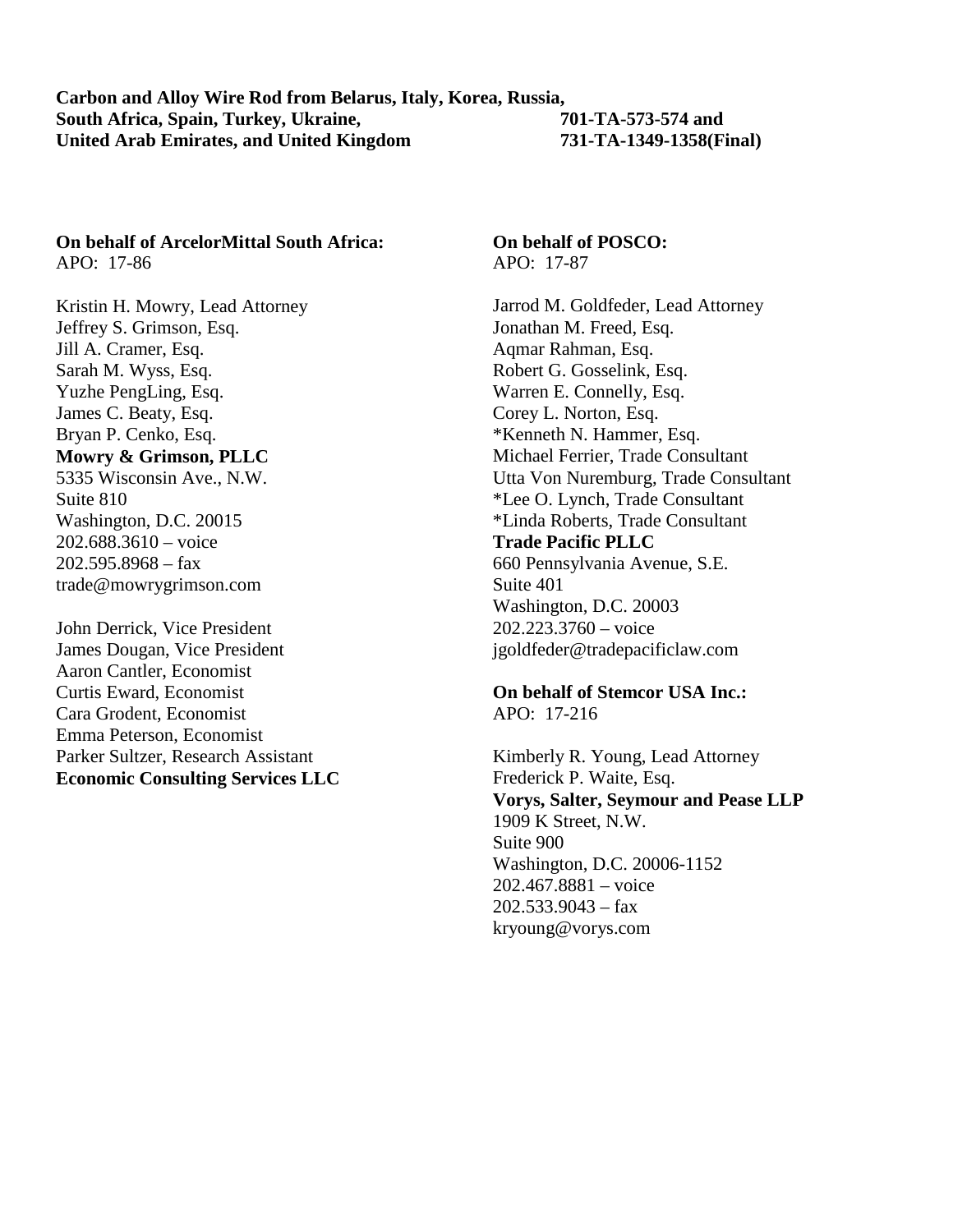# **On behalf of ArcelorMittal South Africa:**

APO: 17-86

Kristin H. Mowry, Lead Attorney Jeffrey S. Grimson, Esq. Jill A. Cramer, Esq. Sarah M. Wyss, Esq. Yuzhe PengLing, Esq. James C. Beaty, Esq. Bryan P. Cenko, Esq. **Mowry & Grimson, PLLC** 5335 Wisconsin Ave., N.W. Suite 810 Washington, D.C. 20015 202.688.3610 – voice 202.595.8968 – fax trade@mowrygrimson.com

John Derrick, Vice President James Dougan, Vice President Aaron Cantler, Economist Curtis Eward, Economist Cara Grodent, Economist Emma Peterson, Economist Parker Sultzer, Research Assistant **Economic Consulting Services LLC**

#### **On behalf of POSCO:** APO: 17-87

Jarrod M. Goldfeder, Lead Attorney Jonathan M. Freed, Esq. Aqmar Rahman, Esq. Robert G. Gosselink, Esq. Warren E. Connelly, Esq. Corey L. Norton, Esq. \*Kenneth N. Hammer, Esq. Michael Ferrier, Trade Consultant Utta Von Nuremburg, Trade Consultant \*Lee O. Lynch, Trade Consultant \*Linda Roberts, Trade Consultant **Trade Pacific PLLC** 660 Pennsylvania Avenue, S.E. Suite 401 Washington, D.C. 20003 202.223.3760 – voice jgoldfeder@tradepacificlaw.com

**On behalf of Stemcor USA Inc.:** APO: 17-216

Kimberly R. Young, Lead Attorney Frederick P. Waite, Esq. **Vorys, Salter, Seymour and Pease LLP** 1909 K Street, N.W. Suite 900 Washington, D.C. 20006-1152 202.467.8881 – voice  $202.533.9043 - fax$ kryoung@vorys.com